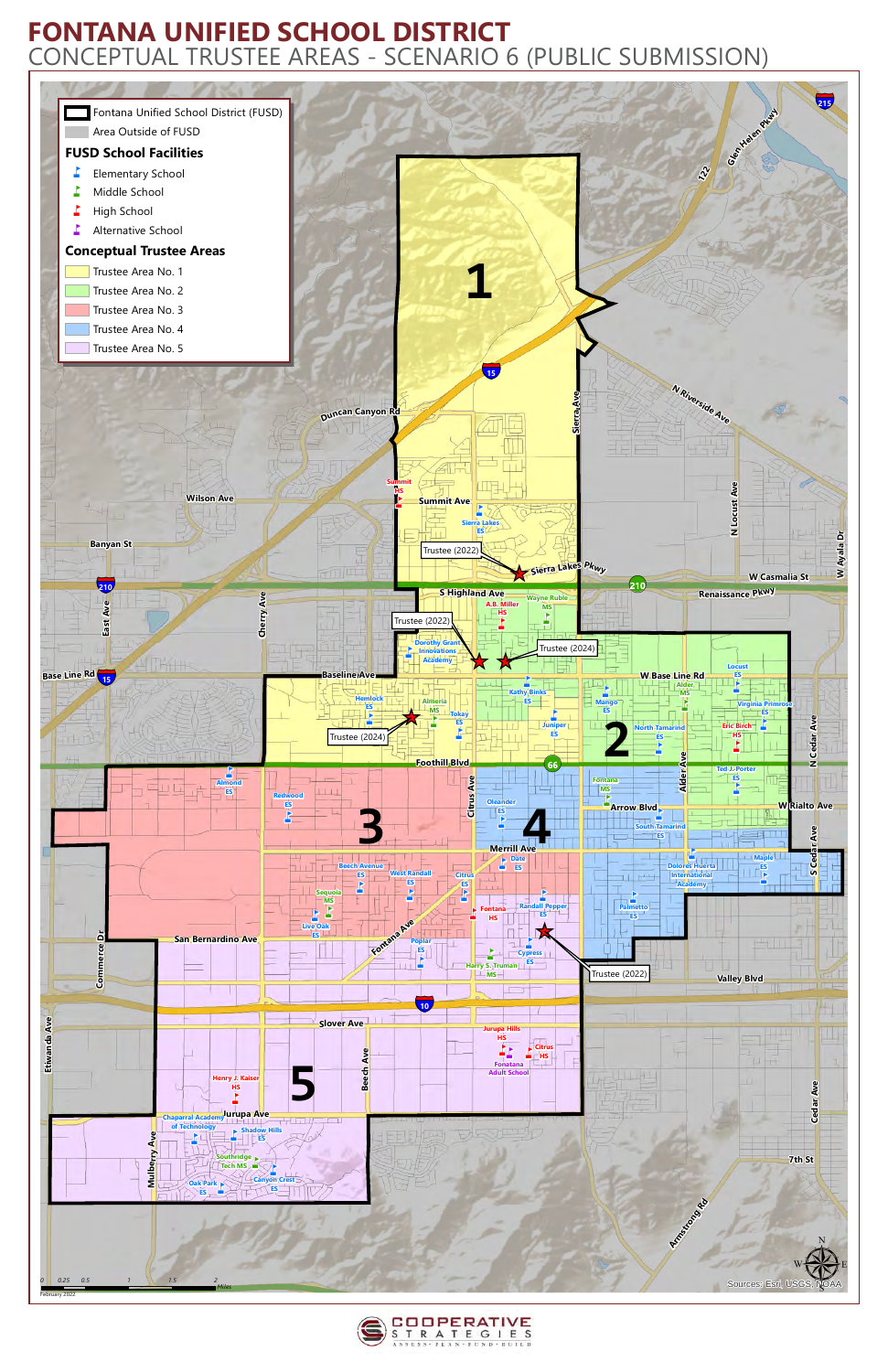



## **FONTANA UNIFIED SCHOOL DISTRICT** CONCEPTUAL TRUSTEE AREAS - SCENARIO 6 (PUBLIC SUBMISSION)